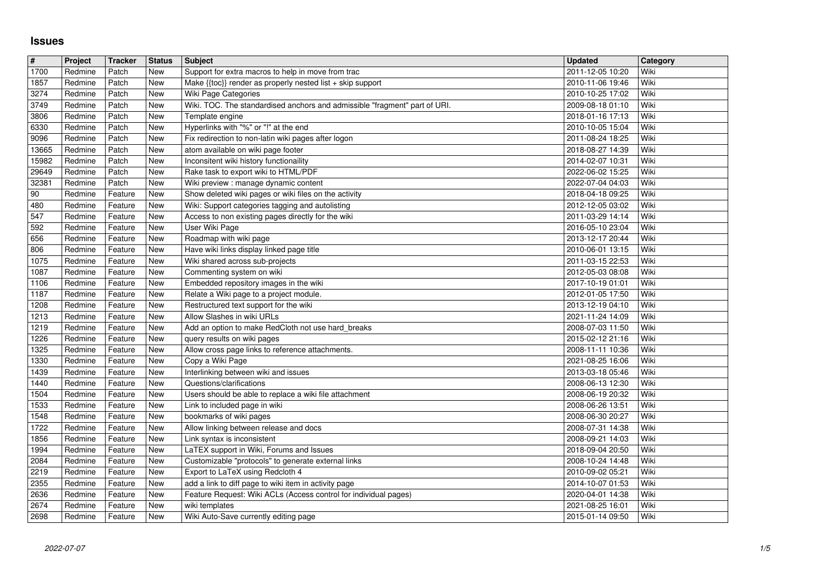## **Issues**

|               | Project            | Tracker            | <b>Status</b>     | <b>Subject</b>                                                                                            | <b>Updated</b>                       | Category     |
|---------------|--------------------|--------------------|-------------------|-----------------------------------------------------------------------------------------------------------|--------------------------------------|--------------|
| 1700          | Redmine            | Patch              | New               | Support for extra macros to help in move from trac                                                        | 2011-12-05 10:20                     | Wiki         |
| 1857<br>3274  | Redmine<br>Redmine | Patch<br>Patch     | New<br>New        | Make {{toc}} render as properly nested list + skip support<br>Wiki Page Categories                        | 2010-11-06 19:46<br>2010-10-25 17:02 | Wiki<br>Wiki |
| 3749          | Redmine            | Patch              | New               | Wiki. TOC. The standardised anchors and admissible "fragment" part of URI.                                | 2009-08-18 01:10                     | Wiki         |
| 3806          | Redmine            | Patch              | New               | Template engine                                                                                           | 2018-01-16 17:13                     | Wiki         |
| 6330          | Redmine            | Patch              | New               | Hyperlinks with "%" or "!" at the end                                                                     | 2010-10-05 15:04                     | Wiki         |
| 9096<br>13665 | Redmine<br>Redmine | Patch<br>Patch     | New<br>New        | Fix redirection to non-latin wiki pages after logon<br>atom available on wiki page footer                 | 2011-08-24 18:25<br>2018-08-27 14:39 | Wiki<br>Wiki |
| 15982         | Redmine            | Patch              | New               | Inconsitent wiki history functionaility                                                                   | 2014-02-07 10:31                     | Wiki         |
| 29649         | Redmine            | Patch              | New               | Rake task to export wiki to HTML/PDF                                                                      | 2022-06-02 15:25                     | Wiki         |
| 32381         | Redmine            | Patch              | New               | Wiki preview : manage dynamic content                                                                     | 2022-07-04 04:03                     | Wiki         |
| 90<br>480     | Redmine<br>Redmine | Feature<br>Feature | New<br><b>New</b> | Show deleted wiki pages or wiki files on the activity<br>Wiki: Support categories tagging and autolisting | 2018-04-18 09:25<br>2012-12-05 03:02 | Wiki<br>Wiki |
| 547           | Redmine            | Feature            | <b>New</b>        | Access to non existing pages directly for the wiki                                                        | 2011-03-29 14:14                     | Wiki         |
| 592           | Redmine            | Feature            | New               | User Wiki Page                                                                                            | 2016-05-10 23:04                     | Wiki         |
| 656           | Redmine            | Feature            | <b>New</b>        | Roadmap with wiki page                                                                                    | 2013-12-17 20:44                     | Wiki         |
| 806<br>1075   | Redmine<br>Redmine | Feature<br>Feature | New<br>New        | Have wiki links display linked page title<br>Wiki shared across sub-projects                              | 2010-06-01 13:15<br>2011-03-15 22:53 | Wiki<br>Wiki |
| 1087          | Redmine            | Feature            | <b>New</b>        | Commenting system on wiki                                                                                 | 2012-05-03 08:08                     | Wiki         |
| 1106          | Redmine            | Feature            | New               | Embedded repository images in the wiki                                                                    | 2017-10-19 01:01                     | Wiki         |
| 1187<br>1208  | Redmine<br>Redmine | Feature<br>Feature | New<br>New        | Relate a Wiki page to a project module.<br>Restructured text support for the wiki                         | 2012-01-05 17:50<br>2013-12-19 04:10 | Wiki<br>Wiki |
| 1213          | Redmine            | Feature            | New               | Allow Slashes in wiki URLs                                                                                | 2021-11-24 14:09                     | Wiki         |
| 1219          | Redmine            | Feature            | New               | Add an option to make RedCloth not use hard_breaks                                                        | 2008-07-03 11:50                     | Wiki         |
| 1226          | Redmine            | Feature            | New               | query results on wiki pages                                                                               | 2015-02-12 21:16                     | Wiki         |
| 1325<br>1330  | Redmine<br>Redmine | Feature<br>Feature | <b>New</b><br>New | Allow cross page links to reference attachments.<br>Copy a Wiki Page                                      | 2008-11-11 10:36<br>2021-08-25 16:06 | Wiki<br>Wiki |
| 1439          | Redmine            | Feature            | <b>New</b>        | Interlinking between wiki and issues                                                                      | 2013-03-18 05:46                     | Wiki         |
| 1440          | Redmine            | Feature            | New               | Questions/clarifications                                                                                  | 2008-06-13 12:30                     | Wiki         |
| 1504          | Redmine            | Feature            | New               | Users should be able to replace a wiki file attachment                                                    | 2008-06-19 20:32                     | Wiki<br>Wiki |
| 1533<br>1548  | Redmine<br>Redmine | Feature<br>Feature | New<br><b>New</b> | Link to included page in wiki<br>bookmarks of wiki pages                                                  | 2008-06-26 13:51<br>2008-06-30 20:27 | Wiki         |
| 1722          | Redmine            | Feature            | <b>New</b>        | Allow linking between release and docs                                                                    | 2008-07-31 14:38                     | Wiki         |
| 1856          | Redmine            | Feature            | New               | Link syntax is inconsistent                                                                               | 2008-09-21 14:03                     | Wiki         |
| 1994<br>2084  | Redmine<br>Redmine | Feature<br>Feature | New<br>New        | LaTEX support in Wiki, Forums and Issues<br>Customizable "protocols" to generate external links           | 2018-09-04 20:50<br>2008-10-24 14:48 | Wiki<br>Wiki |
| 2219          | Redmine            | Feature            | New               | Export to LaTeX using Redcloth 4                                                                          | 2010-09-02 05:21                     | Wiki         |
| 2355          | Redmine            | Feature            | <b>New</b>        | add a link to diff page to wiki item in activity page                                                     | 2014-10-07 01:53                     | Wiki         |
| 2636          | Redmine            | Feature            | New               | Feature Request: Wiki ACLs (Access control for individual pages)                                          | 2020-04-01 14:38                     | Wiki         |
| 2674<br>2698  | Redmine<br>Redmine | Feature<br>Feature | New<br>New        | wiki templates<br>Wiki Auto-Save currently editing page                                                   | 2021-08-25 16:01<br>2015-01-14 09:50 | Wiki<br>Wiki |
|               |                    |                    |                   |                                                                                                           |                                      |              |
|               |                    |                    |                   |                                                                                                           |                                      |              |
|               |                    |                    |                   |                                                                                                           |                                      |              |
|               |                    |                    |                   |                                                                                                           |                                      |              |
|               |                    |                    |                   |                                                                                                           |                                      |              |
|               |                    |                    |                   |                                                                                                           |                                      |              |
|               |                    |                    |                   |                                                                                                           |                                      |              |
|               |                    |                    |                   |                                                                                                           |                                      |              |
|               |                    |                    |                   |                                                                                                           |                                      |              |
|               |                    |                    |                   |                                                                                                           |                                      |              |
|               |                    |                    |                   |                                                                                                           |                                      |              |
|               |                    |                    |                   |                                                                                                           |                                      |              |
|               |                    |                    |                   |                                                                                                           |                                      |              |
|               |                    |                    |                   |                                                                                                           |                                      |              |
|               |                    |                    |                   |                                                                                                           |                                      |              |
|               |                    |                    |                   |                                                                                                           |                                      |              |
|               |                    |                    |                   |                                                                                                           |                                      |              |
|               |                    |                    |                   |                                                                                                           |                                      |              |
|               |                    |                    |                   |                                                                                                           |                                      |              |
|               |                    |                    |                   |                                                                                                           |                                      |              |
|               |                    |                    |                   |                                                                                                           |                                      |              |
|               |                    |                    |                   |                                                                                                           |                                      |              |
|               |                    |                    |                   |                                                                                                           |                                      |              |
|               |                    |                    |                   |                                                                                                           |                                      |              |
|               |                    |                    |                   |                                                                                                           |                                      |              |
|               |                    |                    |                   |                                                                                                           |                                      |              |
|               |                    |                    |                   |                                                                                                           |                                      |              |
|               |                    |                    |                   |                                                                                                           |                                      |              |
|               |                    |                    |                   |                                                                                                           |                                      |              |
|               |                    |                    |                   |                                                                                                           |                                      |              |
|               |                    |                    |                   |                                                                                                           |                                      |              |
|               |                    |                    |                   |                                                                                                           |                                      |              |
|               |                    |                    |                   |                                                                                                           |                                      |              |
|               |                    |                    |                   |                                                                                                           |                                      |              |
|               |                    |                    |                   |                                                                                                           |                                      |              |
|               |                    |                    |                   |                                                                                                           |                                      |              |
|               |                    |                    |                   |                                                                                                           |                                      |              |
|               |                    |                    |                   |                                                                                                           |                                      |              |
|               |                    |                    |                   |                                                                                                           |                                      |              |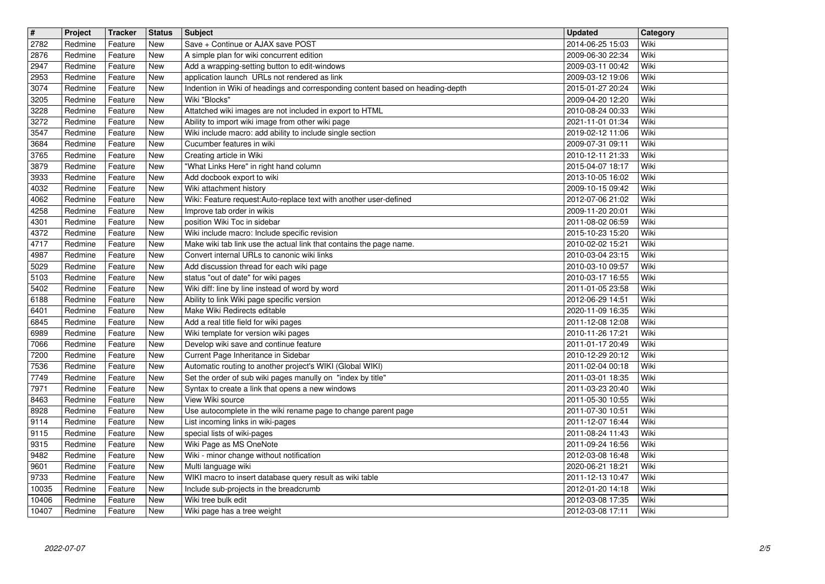| $\overline{\mathbf{t}}$<br>2782 | Project<br>Redmine | Tracker<br>Feature | <b>Status</b><br>New     | <b>Subject</b><br>Save + Continue or AJAX save POST                                                                  | <b>Updated</b><br>2014-06-25 15:03   | Category<br>Wiki |
|---------------------------------|--------------------|--------------------|--------------------------|----------------------------------------------------------------------------------------------------------------------|--------------------------------------|------------------|
| 2876                            | Redmine            | Feature            | New                      | A simple plan for wiki concurrent edition                                                                            | 2009-06-30 22:34                     | Wiki             |
| 2947<br>2953                    | Redmine<br>Redmine | Feature<br>Feature | New<br><b>New</b>        | Add a wrapping-setting button to edit-windows<br>application launch URLs not rendered as link                        | 2009-03-11 00:42<br>2009-03-12 19:06 | Wiki<br>Wiki     |
| 3074                            | Redmine            | Feature            | New                      | Indention in Wiki of headings and corresponding content based on heading-depth                                       | 2015-01-27 20:24                     | Wiki             |
| 3205<br>3228                    | Redmine<br>Redmine | Feature<br>Feature | New<br>New               | Wiki "Blocks"<br>Attatched wiki images are not included in export to HTML                                            | 2009-04-20 12:20<br>2010-08-24 00:33 | Wiki<br>Wiki     |
| 3272<br>3547                    | Redmine<br>Redmine | Feature<br>Feature | <b>New</b><br><b>New</b> | Ability to import wiki image from other wiki page<br>Wiki include macro: add ability to include single section       | 2021-11-01 01:34<br>2019-02-12 11:06 | Wiki<br>Wiki     |
| 3684                            | Redmine            | Feature            | New                      | Cucumber features in wiki                                                                                            | 2009-07-31 09:11                     | Wiki             |
| 3765<br>3879                    | Redmine<br>Redmine | Feature<br>Feature | New<br>New               | Creating article in Wiki<br>"What Links Here" in right hand column                                                   | 2010-12-11 21:33<br>2015-04-07 18:17 | Wiki<br>Wiki     |
| 3933<br>4032                    | Redmine<br>Redmine | Feature<br>Feature | New<br>New               | Add docbook export to wiki<br>Wiki attachment history                                                                | 2013-10-05 16:02<br>2009-10-15 09:42 | Wiki<br>Wiki     |
| 4062                            | Redmine            | Feature            | New                      | Wiki: Feature request:Auto-replace text with another user-defined                                                    | 2012-07-06 21:02                     | Wiki             |
| 4258<br>4301                    | Redmine<br>Redmine | Feature<br>Feature | New<br>New               | Improve tab order in wikis<br>position Wiki Toc in sidebar                                                           | 2009-11-20 20:01<br>2011-08-02 06:59 | Wiki<br>Wiki     |
| 4372<br>4717                    | Redmine<br>Redmine | Feature<br>Feature | <b>New</b><br>New        | Wiki include macro: Include specific revision<br>Make wiki tab link use the actual link that contains the page name. | 2015-10-23 15:20<br>2010-02-02 15:21 | Wiki<br>Wiki     |
| 4987                            | Redmine            | Feature            | New                      | Convert internal URLs to canonic wiki links                                                                          | 2010-03-04 23:15                     | Wiki             |
| 5029<br>5103                    | Redmine<br>Redmine | Feature<br>Feature | New<br><b>New</b>        | Add discussion thread for each wiki page<br>status "out of date" for wiki pages                                      | 2010-03-10 09:57<br>2010-03-17 16:55 | Wiki<br>Wiki     |
| 5402<br>6188                    | Redmine<br>Redmine | Feature<br>Feature | New<br><b>New</b>        | Wiki diff: line by line instead of word by word<br>Ability to link Wiki page specific version                        | 2011-01-05 23:58<br>2012-06-29 14:51 | Wiki<br>Wiki     |
| 6401                            | Redmine            | Feature            | New                      | Make Wiki Redirects editable                                                                                         | 2020-11-09 16:35                     | Wiki             |
| 6845<br>6989                    | Redmine<br>Redmine | Feature<br>Feature | <b>New</b><br><b>New</b> | Add a real title field for wiki pages<br>Wiki template for version wiki pages                                        | 2011-12-08 12:08<br>2010-11-26 17:21 | Wiki<br>Wiki     |
| 7066                            | Redmine            | Feature            | New                      | Develop wiki save and continue feature                                                                               | 2011-01-17 20:49                     | Wiki             |
| 7200<br>7536                    | Redmine<br>Redmine | Feature<br>Feature | New<br>New               | Current Page Inheritance in Sidebar<br>Automatic routing to another project's WIKI (Global WIKI)                     | 2010-12-29 20:12<br>2011-02-04 00:18 | Wiki<br>Wiki     |
| 7749<br>7971                    | Redmine<br>Redmine | Feature<br>Feature | <b>New</b><br>New        | Set the order of sub wiki pages manully on "index by title"<br>Syntax to create a link that opens a new windows      | 2011-03-01 18:35<br>2011-03-23 20:40 | Wiki<br>Wiki     |
| 8463                            | Redmine            | Feature            | New                      | View Wiki source                                                                                                     | 2011-05-30 10:55                     | Wiki             |
| 8928<br>9114                    | Redmine<br>Redmine | Feature<br>Feature | New<br>New               | Use autocomplete in the wiki rename page to change parent page<br>List incoming links in wiki-pages                  | 2011-07-30 10:51<br>2011-12-07 16:44 | Wiki<br>Wiki     |
| 9115<br>9315                    | Redmine<br>Redmine | Feature<br>Feature | New<br>New               | special lists of wiki-pages<br>Wiki Page as MS OneNote                                                               | 2011-08-24 11:43<br>2011-09-24 16:56 | Wiki<br>Wiki     |
| 9482                            | Redmine            | Feature            | New                      | Wiki - minor change without notification                                                                             | 2012-03-08 16:48                     | Wiki             |
| 9601<br>9733                    | Redmine<br>Redmine | Feature<br>Feature | New<br>New               | Multi language wiki<br>WIKI macro to insert database query result as wiki table                                      | 2020-06-21 18:21<br>2011-12-13 10:47 | Wiki<br>Wiki     |
| $\sqrt{10035}$<br>10406         | Redmine<br>Redmine | Feature<br>Feature | New<br>New               | Include sub-projects in the breadcrumb<br>Wiki tree bulk edit                                                        | 2012-01-20 14:18<br>2012-03-08 17:35 | Wiki<br>Wiki     |
| 10407                           | Redmine            | Feature            | New                      | Wiki page has a tree weight                                                                                          | 2012-03-08 17:11                     | Wiki             |
|                                 |                    |                    |                          |                                                                                                                      |                                      |                  |
|                                 |                    |                    |                          |                                                                                                                      |                                      |                  |
|                                 |                    |                    |                          |                                                                                                                      |                                      |                  |
|                                 |                    |                    |                          |                                                                                                                      |                                      |                  |
|                                 |                    |                    |                          |                                                                                                                      |                                      |                  |
|                                 |                    |                    |                          |                                                                                                                      |                                      |                  |
|                                 |                    |                    |                          |                                                                                                                      |                                      |                  |
|                                 |                    |                    |                          |                                                                                                                      |                                      |                  |
|                                 |                    |                    |                          |                                                                                                                      |                                      |                  |
|                                 |                    |                    |                          |                                                                                                                      |                                      |                  |
|                                 |                    |                    |                          |                                                                                                                      |                                      |                  |
|                                 |                    |                    |                          |                                                                                                                      |                                      |                  |
|                                 |                    |                    |                          |                                                                                                                      |                                      |                  |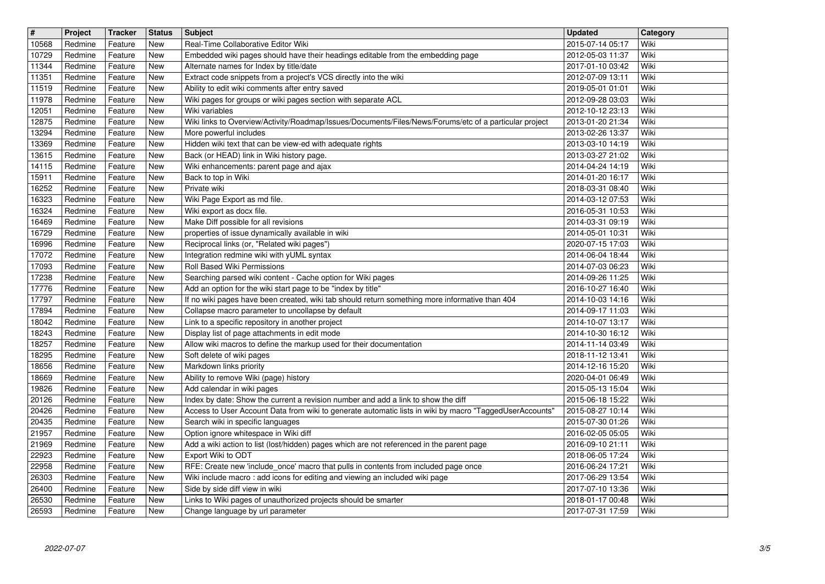| $\overline{\mathbf{H}}$<br>10568 | Project<br>Redmine | <b>Tracker</b><br>Feature | <b>Status</b><br><b>New</b> | <b>Subject</b><br>Real-Time Collaborative Editor Wiki                                                                                                                                        | <b>Updated</b><br>2015-07-14 05:17   | Category<br>Wiki |
|----------------------------------|--------------------|---------------------------|-----------------------------|----------------------------------------------------------------------------------------------------------------------------------------------------------------------------------------------|--------------------------------------|------------------|
| 10729                            | Redmine            | Feature                   | New                         | Embedded wiki pages should have their headings editable from the embedding page                                                                                                              | 2012-05-03 11:37                     | Wiki             |
| 11344<br>11351                   | Redmine<br>Redmine | Feature<br>Feature        | <b>New</b><br><b>New</b>    | Alternate names for Index by title/date<br>Extract code snippets from a project's VCS directly into the wiki                                                                                 | 2017-01-10 03:42<br>2012-07-09 13:11 | Wiki<br>Wiki     |
| 11519                            | Redmine            | Feature                   | New                         | Ability to edit wiki comments after entry saved                                                                                                                                              | 2019-05-01 01:01                     | Wiki             |
| 11978<br>12051                   | Redmine<br>Redmine | Feature<br>Feature        | <b>New</b><br><b>New</b>    | Wiki pages for groups or wiki pages section with separate ACL<br>Wiki variables                                                                                                              | 2012-09-28 03:03<br>2012-10-12 23:13 | Wiki<br>Wiki     |
| 12875                            | Redmine            | Feature                   | <b>New</b>                  | Wiki links to Overview/Activity/Roadmap/Issues/Documents/Files/News/Forums/etc of a particular project                                                                                       | 2013-01-20 21:34                     | Wiki             |
| 13294<br>13369                   | Redmine<br>Redmine | Feature<br>Feature        | <b>New</b><br><b>New</b>    | More powerful includes<br>Hidden wiki text that can be view-ed with adequate rights                                                                                                          | 2013-02-26 13:37<br>2013-03-10 14:19 | Wiki<br>Wiki     |
| 13615                            | Redmine            | Feature                   | New                         | Back (or HEAD) link in Wiki history page.                                                                                                                                                    | 2013-03-27 21:02                     | Wiki             |
| 14115<br>15911                   | Redmine<br>Redmine | Feature<br>Feature        | <b>New</b><br><b>New</b>    | Wiki enhancements: parent page and ajax<br>Back to top in Wiki                                                                                                                               | 2014-04-24 14:19<br>2014-01-20 16:17 | Wiki<br>Wiki     |
| 16252<br>16323                   | Redmine<br>Redmine | Feature<br>Feature        | <b>New</b><br><b>New</b>    | Private wiki<br>Wiki Page Export as md file.                                                                                                                                                 | 2018-03-31 08:40<br>2014-03-12 07:53 | Wiki<br>Wiki     |
| 16324                            | Redmine            | Feature                   | <b>New</b>                  | Wiki export as docx file.                                                                                                                                                                    | 2016-05-31 10:53                     | Wiki             |
| 16469<br>16729                   | Redmine<br>Redmine | Feature<br>Feature        | <b>New</b><br><b>New</b>    | Make Diff possible for all revisions<br>properties of issue dynamically available in wiki                                                                                                    | 2014-03-31 09:19<br>2014-05-01 10:31 | Wiki<br>Wiki     |
| 16996                            | Redmine            | Feature                   | <b>New</b>                  | Reciprocal links (or, "Related wiki pages")                                                                                                                                                  | 2020-07-15 17:03                     | Wiki             |
| 17072<br>17093                   | Redmine<br>Redmine | Feature<br>Feature        | <b>New</b><br><b>New</b>    | Integration redmine wiki with yUML syntax<br>Roll Based Wiki Permissions                                                                                                                     | 2014-06-04 18:44<br>2014-07-03 06:23 | Wiki<br>Wiki     |
| 17238<br>17776                   | Redmine<br>Redmine | Feature<br>Feature        | <b>New</b><br><b>New</b>    | Searching parsed wiki content - Cache option for Wiki pages<br>Add an option for the wiki start page to be "index by title"                                                                  | 2014-09-26 11:25<br>2016-10-27 16:40 | Wiki<br>Wiki     |
| 17797                            | Redmine            | Feature                   | New                         | If no wiki pages have been created, wiki tab should return something more informative than 404                                                                                               | 2014-10-03 14:16                     | Wiki             |
| 17894<br>18042                   | Redmine<br>Redmine | Feature<br>Feature        | <b>New</b><br><b>New</b>    | Collapse macro parameter to uncollapse by default<br>Link to a specific repository in another project                                                                                        | 2014-09-17 11:03<br>2014-10-07 13:17 | Wiki<br>Wiki     |
| 18243                            | Redmine            | Feature                   | <b>New</b>                  | Display list of page attachments in edit mode                                                                                                                                                | 2014-10-30 16:12                     | Wiki             |
| 18257<br>18295                   | Redmine<br>Redmine | Feature<br>Feature        | <b>New</b><br><b>New</b>    | Allow wiki macros to define the markup used for their documentation<br>Soft delete of wiki pages                                                                                             | 2014-11-14 03:49<br>2018-11-12 13:41 | Wiki<br>Wiki     |
| 18656                            | Redmine            | Feature                   | <b>New</b>                  | Markdown links priority                                                                                                                                                                      | 2014-12-16 15:20                     | Wiki             |
| 18669<br>19826                   | Redmine<br>Redmine | Feature<br>Feature        | <b>New</b><br><b>New</b>    | Ability to remove Wiki (page) history<br>Add calendar in wiki pages                                                                                                                          | 2020-04-01 06:49<br>2015-05-13 15:04 | Wiki<br>Wiki     |
| 20126<br>20426                   | Redmine<br>Redmine | Feature<br>Feature        | <b>New</b><br>New           | Index by date: Show the current a revision number and add a link to show the diff<br>Access to User Account Data from wiki to generate automatic lists in wiki by macro "TaggedUserAccounts" | 2015-06-18 15:22<br>2015-08-27 10:14 | Wiki<br>Wiki     |
| 20435                            | Redmine            | Feature                   | <b>New</b>                  | Search wiki in specific languages                                                                                                                                                            | 2015-07-30 01:26                     | Wiki             |
| 21957<br>21969                   | Redmine<br>Redmine | Feature<br>Feature        | New<br>New                  | Option ignore whitespace in Wiki diff<br>Add a wiki action to list (lost/hidden) pages which are not referenced in the parent page                                                           | 2016-02-05 05:05<br>2016-09-10 21:11 | Wiki<br>Wiki     |
| 22923                            | Redmine            | Feature                   | New                         | Export Wiki to ODT                                                                                                                                                                           | 2018-06-05 17:24                     | Wiki             |
| 22958<br>26303                   | Redmine<br>Redmine | Feature<br>Feature        | New<br><b>New</b>           | RFE: Create new 'include_once' macro that pulls in contents from included page once<br>Wiki include macro: add icons for editing and viewing an included wiki page                           | 2016-06-24 17:21<br>2017-06-29 13:54 | Wiki<br>Wiki     |
| 26400                            | Redmine            | Feature                   | New                         | Side by side diff view in wiki                                                                                                                                                               | 2017-07-10 13:36                     | Wiki<br>Wiki     |
| 26530<br>26593                   | Redmine<br>Redmine | Feature<br>Feature        | New<br>New                  | Links to Wiki pages of unauthorized projects should be smarter<br>Change language by url parameter                                                                                           | 2018-01-17 00:48<br>2017-07-31 17:59 | Wiki             |
|                                  |                    |                           |                             |                                                                                                                                                                                              |                                      |                  |
|                                  |                    |                           |                             |                                                                                                                                                                                              |                                      |                  |
|                                  |                    |                           |                             |                                                                                                                                                                                              |                                      |                  |
|                                  |                    |                           |                             |                                                                                                                                                                                              |                                      |                  |
|                                  |                    |                           |                             |                                                                                                                                                                                              |                                      |                  |
|                                  |                    |                           |                             |                                                                                                                                                                                              |                                      |                  |
|                                  |                    |                           |                             |                                                                                                                                                                                              |                                      |                  |
|                                  |                    |                           |                             |                                                                                                                                                                                              |                                      |                  |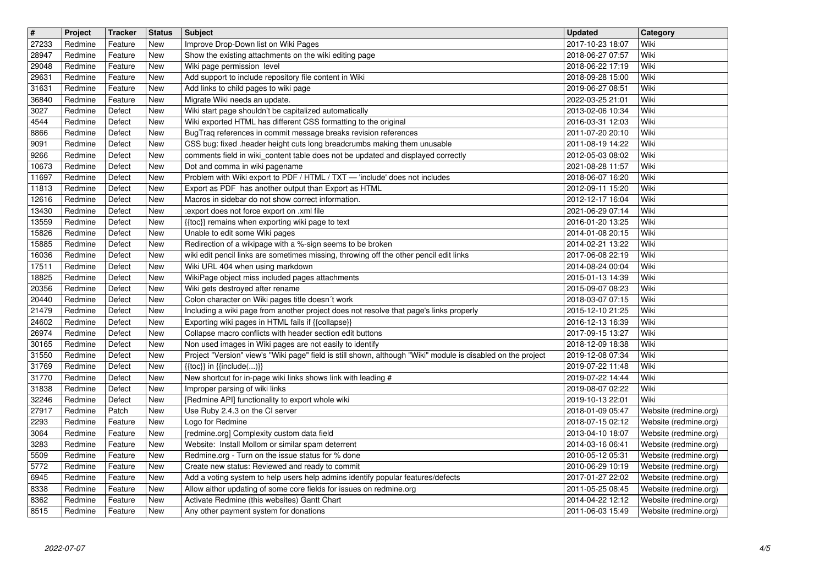| $\overline{\mathbf{H}}$<br>27233 | Project<br>Redmine | Tracker<br>Feature | <b>Status</b><br>New                    | <b>Subject</b><br>Improve Drop-Down list on Wiki Pages                                                                                                              | <b>Updated</b><br>2017-10-23 18:07   | Category<br>Wiki                               |
|----------------------------------|--------------------|--------------------|-----------------------------------------|---------------------------------------------------------------------------------------------------------------------------------------------------------------------|--------------------------------------|------------------------------------------------|
| 28947                            | Redmine            | Feature            | <b>New</b>                              | Show the existing attachments on the wiki editing page                                                                                                              | 2018-06-27 07:57                     | Wiki                                           |
| 29048<br>29631                   | Redmine<br>Redmine | Feature<br>Feature | New<br>New                              | Wiki page permission level<br>Add support to include repository file content in Wiki                                                                                | 2018-06-22 17:19<br>2018-09-28 15:00 | Wiki<br>Wiki                                   |
| 31631                            | Redmine            | Feature            | New                                     | Add links to child pages to wiki page                                                                                                                               | 2019-06-27 08:51                     | Wiki                                           |
| 36840                            | Redmine            | Feature            | New                                     | Migrate Wiki needs an update.                                                                                                                                       | 2022-03-25 21:01                     | Wiki<br>Wiki                                   |
| 3027<br>4544                     | Redmine<br>Redmine | Defect<br>Defect   | New<br>New                              | Wiki start page shouldn't be capitalized automatically<br>Wiki exported HTML has different CSS formatting to the original                                           | 2013-02-06 10:34<br>2016-03-31 12:03 | Wiki                                           |
| 8866                             | Redmine            | Defect             | New                                     | BugTraq references in commit message breaks revision references<br>CSS bug: fixed .header height cuts long breadcrumbs making them unusable                         | 2011-07-20 20:10                     | Wiki                                           |
| 9091<br>9266                     | Redmine<br>Redmine | Defect<br>Defect   | New<br>New                              | comments field in wiki_content table does not be updated and displayed correctly                                                                                    | 2011-08-19 14:22<br>2012-05-03 08:02 | Wiki<br>Wiki                                   |
| 10673<br>11697                   | Redmine<br>Redmine | Defect<br>Defect   | New                                     | Dot and comma in wiki pagename                                                                                                                                      | 2021-08-28 11:57<br>2018-06-07 16:20 | Wiki<br>Wiki                                   |
| 11813                            | Redmine            | Defect             | New<br>New                              | Problem with Wiki export to PDF / HTML / TXT - 'include' does not includes<br>Export as PDF has another output than Export as HTML                                  | 2012-09-11 15:20                     | Wiki                                           |
| 12616<br>13430                   | Redmine<br>Redmine | Defect<br>Defect   | New<br>New                              | Macros in sidebar do not show correct information.<br>:export does not force export on .xml file                                                                    | 2012-12-17 16:04<br>2021-06-29 07:14 | Wiki<br>Wiki                                   |
| 13559                            | Redmine            | Defect             | New                                     | {{toc}} remains when exporting wiki page to text                                                                                                                    | 2016-01-20 13:25                     | Wiki                                           |
| 15826<br>15885                   | Redmine<br>Redmine | Defect<br>Defect   | New<br>New                              | Unable to edit some Wiki pages<br>Redirection of a wikipage with a %-sign seems to be broken                                                                        | 2014-01-08 20:15<br>2014-02-21 13:22 | Wiki<br>Wiki                                   |
| 16036                            | Redmine            | Defect             | New                                     | wiki edit pencil links are sometimes missing, throwing off the other pencil edit links                                                                              | 2017-06-08 22:19                     | Wiki                                           |
| 17511<br>18825                   | Redmine<br>Redmine | Defect<br>Defect   | New<br>New                              | Wiki URL 404 when using markdown<br>WikiPage object miss included pages attachments                                                                                 | 2014-08-24 00:04<br>2015-01-13 14:39 | Wiki<br>Wiki                                   |
| 20356                            | Redmine            | Defect             | New                                     | Wiki gets destroyed after rename                                                                                                                                    | 2015-09-07 08:23                     | Wiki                                           |
| 20440<br>21479                   | Redmine<br>Redmine | Defect<br>Defect   | New<br>New                              | Colon character on Wiki pages title doesn't work<br>Including a wiki page from another project does not resolve that page's links properly                          | 2018-03-07 07:15<br>2015-12-10 21:25 | Wiki<br>Wiki                                   |
| 24602                            | Redmine            | Defect             | New                                     | Exporting wiki pages in HTML fails if {{collapse}}                                                                                                                  | 2016-12-13 16:39                     | Wiki<br>Wiki                                   |
| 26974<br>30165                   | Redmine<br>Redmine | Defect<br>Defect   | New<br>New                              | Collapse macro conflicts with header section edit buttons<br>Non used images in Wiki pages are not easily to identify                                               | 2017-09-15 13:27<br>2018-12-09 18:38 | Wiki                                           |
| 31550<br>31769                   | Redmine<br>Redmine | Defect<br>Defect   | New<br><b>New</b>                       | Project "Version" view's "Wiki page" field is still shown, although "Wiki" module is disabled on the project<br>$\{\{\text{toc}\}\}\$ in $\{\{\text{include}()\}\}$ | 2019-12-08 07:34<br>2019-07-22 11:48 | Wiki<br>Wiki                                   |
| 31770                            | Redmine            | Defect             | New                                     | New shortcut for in-page wiki links shows link with leading #                                                                                                       | 2019-07-22 14:44                     | Wiki                                           |
| 31838<br>32246                   | Redmine<br>Redmine | Defect<br>Defect   | New<br>New                              | Improper parsing of wiki links<br>[Redmine API] functionality to export whole wiki                                                                                  | 2019-08-07 02:22<br>2019-10-13 22:01 | Wiki<br>Wiki                                   |
| 27917                            | Redmine            | Patch              | New                                     | Use Ruby 2.4.3 on the CI server                                                                                                                                     | 2018-01-09 05:47                     | Website (redmine.org)                          |
| 2293<br>3064                     | Redmine<br>Redmine | Feature<br>Feature | <b>New</b><br>New                       | Logo for Redmine<br>[redmine.org] Complexity custom data field                                                                                                      | 2018-07-15 02:12<br>2013-04-10 18:07 | Website (redmine.org)<br>Website (redmine.org) |
| 3283                             | Redmine            | Feature            | New                                     | Website: Install Mollom or similar spam deterrent                                                                                                                   | 2014-03-16 06:41                     | Website (redmine.org)                          |
| 5509<br>5772                     | Redmine<br>Redmine | Feature<br>Feature | <b>New</b><br>$\overline{\mathsf{New}}$ | Redmine.org - Turn on the issue status for % done<br>Create new status: Reviewed and ready to commit                                                                | 2010-05-12 05:31<br>2010-06-29 10:19 | Website (redmine.org)<br>Website (redmine.org) |
| 6945                             | Redmine            | Feature            | New                                     | Add a voting system to help users help admins identify popular features/defects                                                                                     | 2017-01-27 22:02                     | Website (redmine.org)                          |
| 8338<br>8362                     | Redmine<br>Redmine | Feature<br>Feature | New<br>New                              | Allow aithor updating of some core fields for issues on redmine.org<br>Activate Redmine (this websites) Gantt Chart                                                 | 2011-05-25 08:45<br>2014-04-22 12:12 | Website (redmine.org)<br>Website (redmine.org) |
| 8515                             | Redmine            | Feature            | New                                     | Any other payment system for donations                                                                                                                              | 2011-06-03 15:49                     | Website (redmine.org)                          |
|                                  |                    |                    |                                         |                                                                                                                                                                     |                                      |                                                |
|                                  |                    |                    |                                         |                                                                                                                                                                     |                                      |                                                |
|                                  |                    |                    |                                         |                                                                                                                                                                     |                                      |                                                |
|                                  |                    |                    |                                         |                                                                                                                                                                     |                                      |                                                |
|                                  |                    |                    |                                         |                                                                                                                                                                     |                                      |                                                |
|                                  |                    |                    |                                         |                                                                                                                                                                     |                                      |                                                |
|                                  |                    |                    |                                         |                                                                                                                                                                     |                                      |                                                |
|                                  |                    |                    |                                         |                                                                                                                                                                     |                                      |                                                |
|                                  |                    |                    |                                         |                                                                                                                                                                     |                                      |                                                |
|                                  |                    |                    |                                         |                                                                                                                                                                     |                                      |                                                |
|                                  |                    |                    |                                         |                                                                                                                                                                     |                                      |                                                |
|                                  |                    |                    |                                         |                                                                                                                                                                     |                                      |                                                |
|                                  |                    |                    |                                         |                                                                                                                                                                     |                                      |                                                |
|                                  |                    |                    |                                         |                                                                                                                                                                     |                                      |                                                |